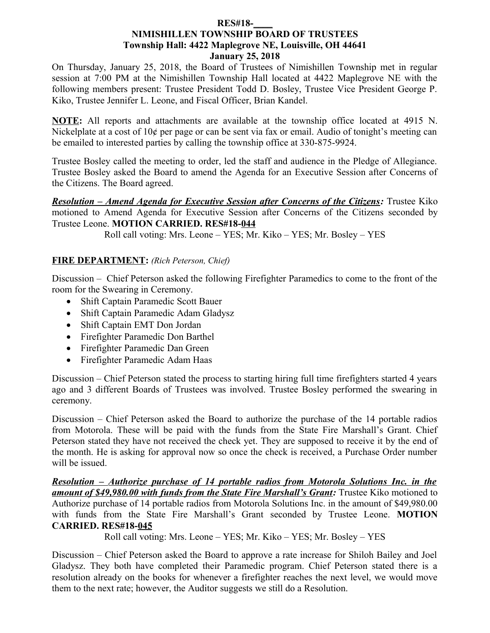#### **RES#18-\_\_\_\_ NIMISHILLEN TOWNSHIP BOARD OF TRUSTEES Township Hall: 4422 Maplegrove NE, Louisville, OH 44641 January 25, 2018**

On Thursday, January 25, 2018, the Board of Trustees of Nimishillen Township met in regular session at 7:00 PM at the Nimishillen Township Hall located at 4422 Maplegrove NE with the following members present: Trustee President Todd D. Bosley, Trustee Vice President George P. Kiko, Trustee Jennifer L. Leone, and Fiscal Officer, Brian Kandel.

**NOTE:** All reports and attachments are available at the township office located at 4915 N. Nickelplate at a cost of 10¢ per page or can be sent via fax or email. Audio of tonight's meeting can be emailed to interested parties by calling the township office at 330-875-9924.

Trustee Bosley called the meeting to order, led the staff and audience in the Pledge of Allegiance. Trustee Bosley asked the Board to amend the Agenda for an Executive Session after Concerns of the Citizens. The Board agreed.

 *Resolution – Amend Agenda for Executive Session after Concerns of the Citizens:* Trustee Kiko motioned to Amend Agenda for Executive Session after Concerns of the Citizens seconded by Trustee Leone. **MOTION CARRIED. RES#18-044**

Roll call voting: Mrs. Leone – YES; Mr. Kiko – YES; Mr. Bosley – YES

### **FIRE DEPARTMENT:** *(Rich Peterson, Chief)*

Discussion – Chief Peterson asked the following Firefighter Paramedics to come to the front of the room for the Swearing in Ceremony.

- Shift Captain Paramedic Scott Bauer
- Shift Captain Paramedic Adam Gladysz
- Shift Captain EMT Don Jordan
- Firefighter Paramedic Don Barthel
- Firefighter Paramedic Dan Green
- Firefighter Paramedic Adam Haas

Discussion – Chief Peterson stated the process to starting hiring full time firefighters started 4 years ago and 3 different Boards of Trustees was involved. Trustee Bosley performed the swearing in ceremony.

Discussion – Chief Peterson asked the Board to authorize the purchase of the 14 portable radios from Motorola. These will be paid with the funds from the State Fire Marshall's Grant. Chief Peterson stated they have not received the check yet. They are supposed to receive it by the end of the month. He is asking for approval now so once the check is received, a Purchase Order number will be issued.

 *Resolution – Authorize purchase of 14 portable radios from Motorola Solutions Inc. in the amount of \$49,980.00 with funds from the State Fire Marshall's Grant:* Trustee Kiko motioned to Authorize purchase of 14 portable radios from Motorola Solutions Inc. in the amount of \$49,980.00 with funds from the State Fire Marshall's Grant seconded by Trustee Leone. **MOTION CARRIED. RES#18-045**

Roll call voting: Mrs. Leone – YES; Mr. Kiko – YES; Mr. Bosley – YES

Discussion – Chief Peterson asked the Board to approve a rate increase for Shiloh Bailey and Joel Gladysz. They both have completed their Paramedic program. Chief Peterson stated there is a resolution already on the books for whenever a firefighter reaches the next level, we would move them to the next rate; however, the Auditor suggests we still do a Resolution.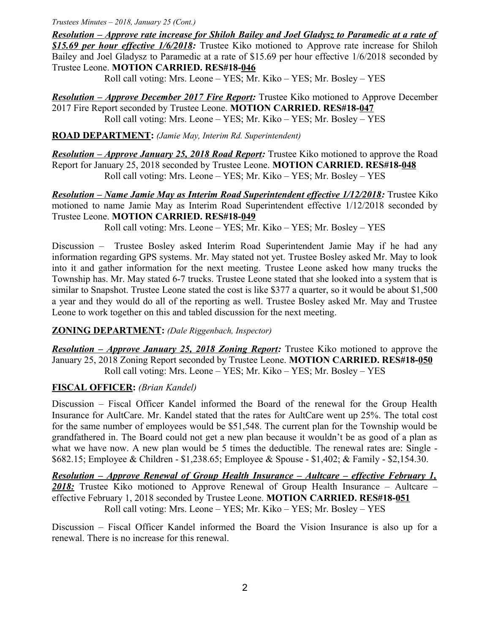*Trustees Minutes – 2018, January 25 (Cont.)*

 *Resolution – Approve rate increase for Shiloh Bailey and Joel Gladysz to Paramedic at a rate of \$15.69 per hour effective 1/6/2018:* Trustee Kiko motioned to Approve rate increase for Shiloh Bailey and Joel Gladysz to Paramedic at a rate of \$15.69 per hour effective 1/6/2018 seconded by Trustee Leone. **MOTION CARRIED. RES#18-046**

Roll call voting: Mrs. Leone – YES; Mr. Kiko – YES; Mr. Bosley – YES

 *Resolution – Approve December 2017 Fire Report:* Trustee Kiko motioned to Approve December 2017 Fire Report seconded by Trustee Leone. **MOTION CARRIED. RES#18-047** Roll call voting: Mrs. Leone – YES; Mr. Kiko – YES; Mr. Bosley – YES

**ROAD DEPARTMENT:** *(Jamie May, Interim Rd. Superintendent)*

*Resolution – Approve January 25, 2018 Road Report:* Trustee Kiko motioned to approve the Road Report for January 25, 2018 seconded by Trustee Leone. **MOTION CARRIED. RES#18-048** Roll call voting: Mrs. Leone – YES; Mr. Kiko – YES; Mr. Bosley – YES

*Resolution – Name Jamie May as Interim Road Superintendent effective 1/12/2018:* **Trustee Kiko** motioned to name Jamie May as Interim Road Superintendent effective 1/12/2018 seconded by Trustee Leone. **MOTION CARRIED. RES#18-049**

Roll call voting: Mrs. Leone – YES; Mr. Kiko – YES; Mr. Bosley – YES

Discussion – Trustee Bosley asked Interim Road Superintendent Jamie May if he had any information regarding GPS systems. Mr. May stated not yet. Trustee Bosley asked Mr. May to look into it and gather information for the next meeting. Trustee Leone asked how many trucks the Township has. Mr. May stated 6-7 trucks. Trustee Leone stated that she looked into a system that is similar to Snapshot. Trustee Leone stated the cost is like \$377 a quarter, so it would be about \$1,500 a year and they would do all of the reporting as well. Trustee Bosley asked Mr. May and Trustee Leone to work together on this and tabled discussion for the next meeting.

### **ZONING DEPARTMENT:** *(Dale Riggenbach, Inspector)*

*Resolution – Approve January 25, 2018 Zoning Report:* Trustee Kiko motioned to approve the January 25, 2018 Zoning Report seconded by Trustee Leone. **MOTION CARRIED. RES#18-050** Roll call voting: Mrs. Leone – YES; Mr. Kiko – YES; Mr. Bosley – YES

## **FISCAL OFFICER:** *(Brian Kandel)*

Discussion – Fiscal Officer Kandel informed the Board of the renewal for the Group Health Insurance for AultCare. Mr. Kandel stated that the rates for AultCare went up 25%. The total cost for the same number of employees would be \$51,548. The current plan for the Township would be grandfathered in. The Board could not get a new plan because it wouldn't be as good of a plan as what we have now. A new plan would be 5 times the deductible. The renewal rates are: Single -\$682.15; Employee & Children - \$1,238.65; Employee & Spouse - \$1,402; & Family - \$2,154.30.

 *Resolution – Approve Renewal of Group Health Insurance – Aultcare – effective February 1, 2018:* Trustee Kiko motioned to Approve Renewal of Group Health Insurance – Aultcare – effective February 1, 2018 seconded by Trustee Leone. **MOTION CARRIED. RES#18-051** Roll call voting: Mrs. Leone – YES; Mr. Kiko – YES; Mr. Bosley – YES

Discussion – Fiscal Officer Kandel informed the Board the Vision Insurance is also up for a renewal. There is no increase for this renewal.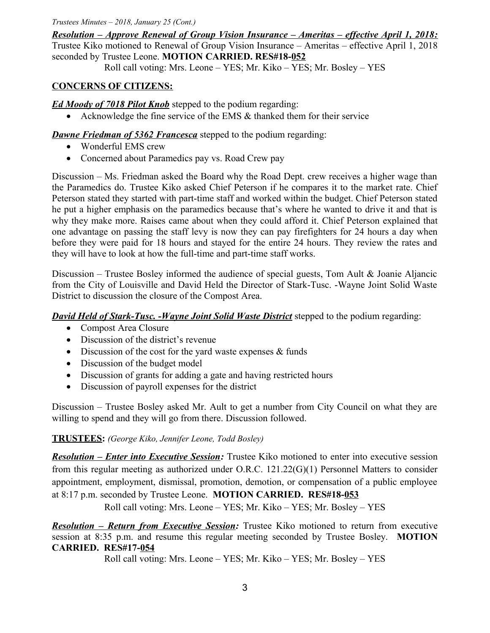*Trustees Minutes – 2018, January 25 (Cont.)*

 *Resolution – Approve Renewal of Group Vision Insurance – Ameritas – effective April 1, 2018:* Trustee Kiko motioned to Renewal of Group Vision Insurance – Ameritas – effective April 1, 2018 seconded by Trustee Leone. **MOTION CARRIED. RES#18-052**

Roll call voting: Mrs. Leone – YES; Mr. Kiko – YES; Mr. Bosley – YES

# **CONCERNS OF CITIZENS:**

*Ed Moody of 7018 Pilot Knob* stepped to the podium regarding:

Acknowledge the fine service of the EMS & thanked them for their service

*Dawne Friedman of 5362 Francesca* stepped to the podium regarding:

- Wonderful EMS crew
- Concerned about Paramedics pay vs. Road Crew pay

Discussion – Ms. Friedman asked the Board why the Road Dept. crew receives a higher wage than the Paramedics do. Trustee Kiko asked Chief Peterson if he compares it to the market rate. Chief Peterson stated they started with part-time staff and worked within the budget. Chief Peterson stated he put a higher emphasis on the paramedics because that's where he wanted to drive it and that is why they make more. Raises came about when they could afford it. Chief Peterson explained that one advantage on passing the staff levy is now they can pay firefighters for 24 hours a day when before they were paid for 18 hours and stayed for the entire 24 hours. They review the rates and they will have to look at how the full-time and part-time staff works.

Discussion – Trustee Bosley informed the audience of special guests, Tom Ault & Joanie Aljancic from the City of Louisville and David Held the Director of Stark-Tusc. -Wayne Joint Solid Waste District to discussion the closure of the Compost Area.

*David Held of Stark-Tusc. -Wayne Joint Solid Waste District* stepped to the podium regarding:

- Compost Area Closure
- Discussion of the district's revenue
- $\bullet$  Discussion of the cost for the yard waste expenses  $\&$  funds
- Discussion of the budget model
- Discussion of grants for adding a gate and having restricted hours
- Discussion of payroll expenses for the district

Discussion – Trustee Bosley asked Mr. Ault to get a number from City Council on what they are willing to spend and they will go from there. Discussion followed.

# **TRUSTEES:** *(George Kiko, Jennifer Leone, Todd Bosley)*

*Resolution – Enter into Executive Session:* Trustee Kiko motioned to enter into executive session from this regular meeting as authorized under O.R.C. 121.22(G)(1) Personnel Matters to consider appointment, employment, dismissal, promotion, demotion, or compensation of a public employee at 8:17 p.m. seconded by Trustee Leone. **MOTION CARRIED. RES#18-053**

Roll call voting: Mrs. Leone – YES; Mr. Kiko – YES; Mr. Bosley – YES

*Resolution – Return from Executive Session:* Trustee Kiko motioned to return from executive session at 8:35 p.m. and resume this regular meeting seconded by Trustee Bosley. **MOTION CARRIED. RES#17-054**

Roll call voting: Mrs. Leone – YES; Mr. Kiko – YES; Mr. Bosley – YES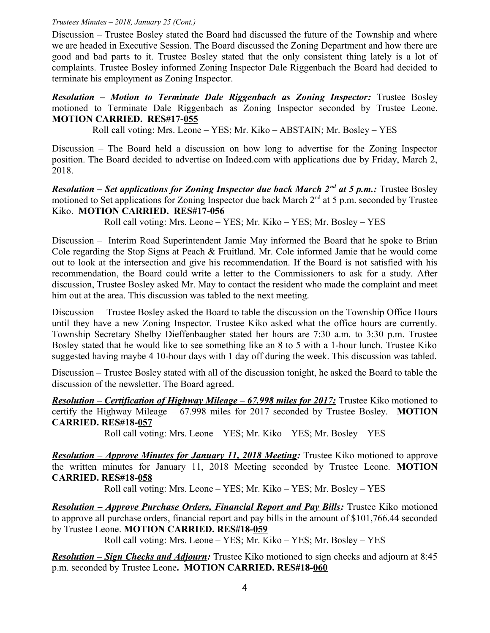#### *Trustees Minutes – 2018, January 25 (Cont.)*

Discussion – Trustee Bosley stated the Board had discussed the future of the Township and where we are headed in Executive Session. The Board discussed the Zoning Department and how there are good and bad parts to it. Trustee Bosley stated that the only consistent thing lately is a lot of complaints. Trustee Bosley informed Zoning Inspector Dale Riggenbach the Board had decided to terminate his employment as Zoning Inspector.

*Resolution – Motion to Terminate Dale Riggenbach as Zoning Inspector:* Trustee Bosley motioned to Terminate Dale Riggenbach as Zoning Inspector seconded by Trustee Leone. **MOTION CARRIED. RES#17-055**

Roll call voting: Mrs. Leone – YES; Mr. Kiko – ABSTAIN; Mr. Bosley – YES

Discussion – The Board held a discussion on how long to advertise for the Zoning Inspector position. The Board decided to advertise on Indeed.com with applications due by Friday, March 2, 2018.

**Resolution – Set applications for Zoning Inspector due back March 2<sup>nd</sup> at 5 p.m.: Trustee Bosley** motioned to Set applications for Zoning Inspector due back March  $2<sup>nd</sup>$  at 5 p.m. seconded by Trustee Kiko. **MOTION CARRIED. RES#17-056**

Roll call voting: Mrs. Leone – YES; Mr. Kiko – YES; Mr. Bosley – YES

Discussion – Interim Road Superintendent Jamie May informed the Board that he spoke to Brian Cole regarding the Stop Signs at Peach & Fruitland. Mr. Cole informed Jamie that he would come out to look at the intersection and give his recommendation. If the Board is not satisfied with his recommendation, the Board could write a letter to the Commissioners to ask for a study. After discussion, Trustee Bosley asked Mr. May to contact the resident who made the complaint and meet him out at the area. This discussion was tabled to the next meeting.

Discussion – Trustee Bosley asked the Board to table the discussion on the Township Office Hours until they have a new Zoning Inspector. Trustee Kiko asked what the office hours are currently. Township Secretary Shelby Dieffenbaugher stated her hours are 7:30 a.m. to 3:30 p.m. Trustee Bosley stated that he would like to see something like an 8 to 5 with a 1-hour lunch. Trustee Kiko suggested having maybe 4 10-hour days with 1 day off during the week. This discussion was tabled.

Discussion – Trustee Bosley stated with all of the discussion tonight, he asked the Board to table the discussion of the newsletter. The Board agreed.

*Resolution – Certification of Highway Mileage – 67.998 miles for 2017:* Trustee Kiko motioned to certify the Highway Mileage – 67.998 miles for 2017 seconded by Trustee Bosley. **MOTION CARRIED. RES#18-057**

Roll call voting: Mrs. Leone – YES; Mr. Kiko – YES; Mr. Bosley – YES

 *Resolution – Approve Minutes for January 11, 2018 Meeting:* Trustee Kiko motioned to approve the written minutes for January 11, 2018 Meeting seconded by Trustee Leone. **MOTION CARRIED. RES#18-058**

Roll call voting: Mrs. Leone – YES; Mr. Kiko – YES; Mr. Bosley – YES

*Resolution – Approve Purchase Orders, Financial Report and Pay Bills:* Trustee Kiko motioned to approve all purchase orders, financial report and pay bills in the amount of \$101,766.44 seconded by Trustee Leone. **MOTION CARRIED. RES#18-059**

Roll call voting: Mrs. Leone – YES; Mr. Kiko – YES; Mr. Bosley – YES

*Resolution – Sign Checks and Adjourn:* Trustee Kiko motioned to sign checks and adjourn at 8:45 p.m. seconded by Trustee Leone**. MOTION CARRIED. RES#18-060**